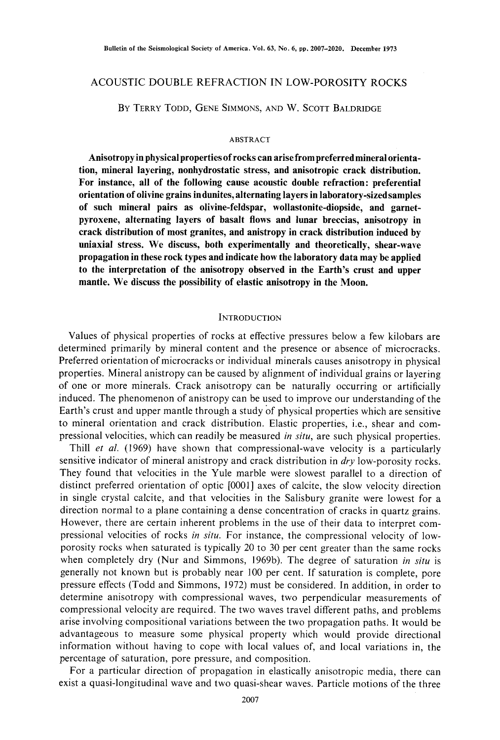# ACOUSTIC DOUBLE REFRACTION IN LOW-POROSITY ROCKS

BY TERRY TODD, GENE SIMMONS, AND W. SCOTT BALDRIDGE

#### ABSTRACT

**Anisotropy in physical properties of rocks can arise from preferred mineral orientation, mineral layering, nonhydrostatic stress, and anisotropic crack distribution. For instance, all of the following cause acoustic double refraction: preferential orientation of olivine grains in dunites, alternating layers in laboratory-sizedsamples of such mineral pairs as olivine-feldspar, wollastonite-diopside, and garnetpyroxene, alternating layers of basalt flows and lunar breccias, anisotropy in crack distribution of most granites, and anistropy in crack distribution induced by uniaxial stress. We discuss, both experimentally and theoretically, shear-wave propagation in these rock types and indicate how the laboratory data may be applied to the interpretation of the anisotropy observed in the Earth's crust and upper mantle. We discuss the possibility of elastic anisotropy in the Moon.** 

## **INTRODUCTION**

Values of physical properties of rocks at effective pressures below a few kilobars are determined primarily by mineral content and the presence or absence of microcracks. Preferred orientation of microcracks or individual minerals causes anisotropy in physical properties. Mineral anistropy can be caused by alignment of individual grains or layering of one or more minerals. Crack anisotropy can be naturally occurring or artificially induced. The phenomenon of anistropy can be used to improve our understanding of the Earth's crust and upper mantle through a study of physical properties which are sensitive to mineral orientation and crack distribution. Elastic properties, i.e., shear and compressional velocities, which can readily be measured *in situ,* are such physical properties.

Thill *et al.* (1969) have shown that compressional-wave velocity is a particularly sensitive indicator of mineral anistropy and crack distribution in *dry* low-porosity rocks. They found that velocities in the Yule marble were slowest parallel to a direction of distinct preferred orientation of optic [0001] axes of calcite, the slow velocity direction in single crystal calcite, and that velocities in the Salisbury granite were lowest for a direction normal to a plane containing a dense concentration of cracks in quartz grains. However, there are certain inherent problems in the use of their data to interpret compressional velocities of rocks *in situ.* For instance, the compressional velocity of lowporosity rocks when saturated is typically 20 to 30 per cent greater than the same rocks when completely dry (Nur and Simmons, 1969b). The degree of saturation *in situ* is generally not known but is probably near 100 per cent. If saturation is complete, pore pressure effects (Todd and Simmons, 1972) must be considered. In addition, in order to determine anisotropy with compressional waves, two perpendicular measurements of compressional velocity are required. The two waves travel different paths, and problems arise involving compositional variations between the two propagation paths. It would be advantageous to measure some physical property which would provide directional information without having to cope with local values of, and local variations in, the percentage of saturation, pore pressure, and composition.

For a particular direction of propagation in elastically anisotropic media, there can exist a quasi-longitudinal wave and two quasi-shear waves. Particle motions of the three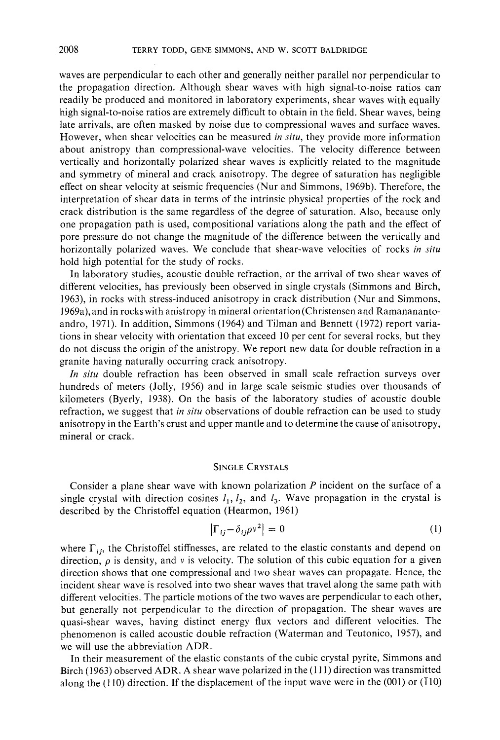waves are perpendicular to each other and generally neither parallel nor perpendicular to the propagation direction. Although shear waves with high signal-to-noise ratios can" readily be produced and monitored in laboratory experiments, shear waves with equally high signal-to-noise ratios are extremely difficult to obtain in the field. Shear waves, being late arrivals, are often masked by noise due to compressional waves and surface waves. However, when shear velocities can be measured *in situ,* they provide more information about anistropy than compressional-wave velocities. The velocity difference between vertically and horizontally polarized shear waves is explicitly related to the magnitude and symmetry of mineral and crack anisotropy. The degree of saturation has negligible effect on shear velocity at seismic frequencies (Nur and Simmons, 1969b). Therefore, the interpretation of shear data in terms of the intrinsic physical properties of the rock and crack distribution is the same regardless of the degree of saturation. Also, because only one propagation path is used, compositional variations along the path and the effect of pore pressure do not change the magnitude of the difference between the vertically and horizontally polarized waves. We conclude that shear-wave velocities of rocks *in situ*  hold high potential for the study of rocks.

In laboratory studies, acoustic double refraction, or the arrival of two shear waves of different velocities, has previously been observed in single crystals (Simmons and Birch, 1963), in rocks with stress-induced anisotropy in crack distribution (Nur and Simmons, 1969a), and in rocks with anistropy in mineral orientation (Christensen and Ramananantoandro, 1971). In addition, Simmons (1964) and Tilman and Bennett (1972) report variations in shear velocity with orientation that exceed 10 per cent for several rocks, but they do not discuss the origin of the anistropy. We report new data for double refraction in a granite having naturally occurring crack anisotropy.

*In situ* double refraction has been observed in small scale refraction surveys over hundreds of meters (Jolly, 1956) and in large scale seismic studies over thousands of kilometers (Byerly, 1938). On the basis of the laboratory studies of acoustic double refraction, we suggest that *in situ* observations of double refraction can be used to study anisotropy in the Earth's crust and upper mantle and to determine the cause of anisotropy, mineral or crack.

## SINGLE CRYSTALS

Consider a plane shear wave with known polarization  $P$  incident on the surface of a single crystal with direction cosines  $l_1$ ,  $l_2$ , and  $l_3$ . Wave propagation in the crystal is described by the Christoffel equation (Hearmon, 1961)

$$
\left|\Gamma_{ij} - \delta_{ij} \rho v^2\right| = 0\tag{1}
$$

where  $\Gamma_{ij}$ , the Christoffel stiffnesses, are related to the elastic constants and depend on direction,  $\rho$  is density, and v is velocity. The solution of this cubic equation for a given direction shows that one compressional and two shear waves can propagate. Hence, the incident shear wave is resolved into two shear waves that travel along the same path with different velocities. The particle motions of the two waves are perpendicular to each other, but generally not perpendicular to the direction of propagation. The shear waves are quasi-shear waves, having distinct energy flux vectors and different velocities. The phenomenon is called acoustic double refraction (Waterman and Teutonico, 1957), and we will use the abbreviation ADR.

In their measurement of the elastic constants of the cubic crystal pyrite, Simmons and Birch (1963) observed ADR. A shear wave polarized in the (111) direction was transmitted along the (110) direction. If the displacement of the input wave were in the (001) or ( $\overline{1}10$ )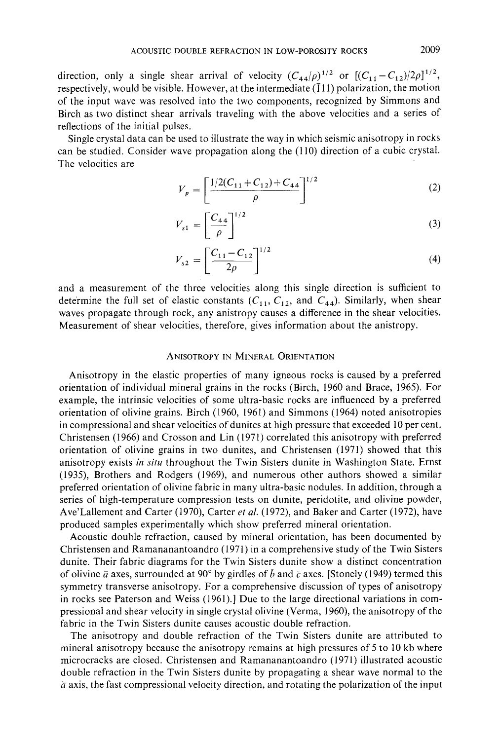direction, only a single shear arrival of velocity  $(C_{44}/\rho)^{1/2}$  or  $[(C_{11}-C_{12})/2\rho]^{1/2}$ , respectively, would be visible. However, at the intermediate  $(111)$  polarization, the motion of the input wave was resolved into the two components, recognized by Simmons and Birch as two distinct shear arrivals traveling with the above velocities and a series of reflections of the initial pulses.

Single crystal data can be used to illustrate the way in which seismic anisotropy in rocks can be studied. Consider wave propagation along the (110) direction of a cubic crystal. The velocities are

$$
V_p = \left[\frac{1/2(C_{11} + C_{12}) + C_{44}}{\rho}\right]^{1/2} \tag{2}
$$

$$
V_{s1} = \left[\frac{C_{44}}{\rho}\right]^{1/2} \tag{3}
$$

$$
V_{s2} = \left[\frac{C_{11} - C_{12}}{2\rho}\right]^{1/2} \tag{4}
$$

and a measurement of the three velocities along this single direction is sufficient to determine the full set of elastic constants  $(C_{11}, C_{12},$  and  $C_{44}$ ). Similarly, when shear waves propagate through rock, any anistropy causes a difference in the shear velocities. Measurement of shear velocities, therefore, gives information about the anistropy.

## ANISOTROPY IN MINERAL ORIENTATION

Anisotropy in the elastic properties of many igneous rocks is caused by a preferred orientation of individual mineral grains in the rocks (Birch, 1960 and Brace, 1965), For example, the intrinsic velocities of some ultra-basic rocks are influenced by a preferred orientation of olivine grains. Birch (1960, 1961) and Simmons (1964) noted anisotropies in compressional and shear velocities of dunites at high pressure that exceeded 10 per cent. Christensen (1966) and Crosson and Lin (1971) correlated this anisotropy with preferred orientation of olivine grains in two dunites, and Christensen (1971) showed that this anisotropy exists in *silu* throughout the Twin Sisters dunite in Washington State. Ernst (1935), Brothers and Rodgers (1969), and numerous other authors showed a similar preferred orientation of olivine fabric in many ultra-basic nodules. In addition, through a series of high-temperature compression tests on dunite, peridotite, and olivine powder, Ave'Lallement and Carter (1970), Carter *el al.* (1972), and Baker and Carter (1972), have produced samples experimentally which show preferred mineral orientation.

Acoustic double refraction, caused by mineral orientation, has been documented by Christensen and Ramananantoandro (1971) in a comprehensive study of the Twin Sisters dunite. Their fabric diagrams for the Twin Sisters dunite show a distinct concentration of olivine  $\bar{a}$  axes, surrounded at 90° by girdles of  $\bar{b}$  and  $\bar{c}$  axes. [Stonely (1949) termed this symmetry transverse anisotropy. For a comprehensive discussion of types of anisotropy in rocks see Paterson and Weiss (1961).] Due to the large directional variations in compressional and shear velocity in single crystal olivine (Verma, 1960), the anisotropy of the fabric in the Twin Sisters dunite causes acoustic double refraction.

The anisotropy and double refraction of the Twin Sisters dunite are attributed to mineral anisotropy because the anisotropy remains at high pressures of 5 to 10 kb where microcracks are closed. Christensen and Ramananantoandro (1971) illustrated acoustic double refraction in the Twin Sisters dunite by propagating a shear wave normal to the  $\bar{a}$  axis, the fast compressional velocity direction, and rotating the polarization of the input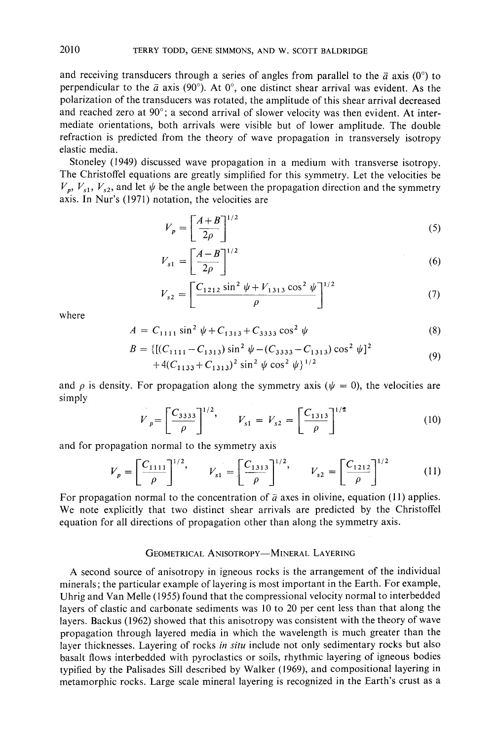and receiving transducers through a series of angles from parallel to the  $\vec{a}$  axis (0°) to perpendicular to the  $\bar{a}$  axis (90°). At 0°, one distinct shear arrival was evident. As the polarization of the transducers was rotated, the amplitude of this shear arrival decreased and reached zero at 90°; a second arrival of slower velocity was then evident. At intermediate orientations, both arrivals were visible but of lower amplitude. The double refraction is predicted from the theory of wave propagation in transversely isotropy elastic media.

Stoneley (1949) discussed wave propagation in a medium with transverse isotropy. The Christoffel equations are greatly simplified for this symmetry. Let the velocities be  $V_p$ ,  $V_{s1}$ ,  $V_{s2}$ , and let  $\psi$  be the angle between the propagation direction and the symmetry axis. In Nur's (1971) notation, the velocities are

$$
V_p = \left[\frac{A+B}{2\rho}\right]^{1/2} \tag{5}
$$

$$
V_{s1} = \left[\frac{A - B}{2\rho}\right]^{1/2} \tag{6}
$$

$$
V_{s2} = \left[\frac{C_{1212} \sin^2 \psi + V_{1313} \cos^2 \psi}{\rho}\right]^{1/2}
$$
 (7)

where

$$
A = C_{1111} \sin^2 \psi + C_{1313} + C_{3333} \cos^2 \psi \tag{8}
$$

$$
B = \{ [(C_{1111} - C_{1313}) \sin^2 \psi - (C_{3333} - C_{1313}) \cos^2 \psi ]^2 + 4(C_{1133} + C_{1313})^2 \sin^2 \psi \cos^2 \psi \}^{1/2}
$$
(9)

+4
$$
(C_{1133} + C_{1313})^2 \sin^2 \psi \cos^2 \psi
$$
<sup>1/2</sup>

and  $\rho$  is density. For propagation along the symmetry axis ( $\psi = 0$ ), the velocities are simply

$$
V_{p} = \left[\frac{C_{3333}}{\rho}\right]^{1/2}, \qquad V_{s1} = V_{s2} = \left[\frac{C_{1313}}{\rho}\right]^{1/2}
$$
 (10)

and for propagation normal to the symmetry axis

$$
V_p = \left[\frac{C_{1111}}{\rho}\right]^{1/2}, \qquad V_{s1} = \left[\frac{C_{1313}}{\rho}\right]^{1/2}, \qquad V_{s2} = \left[\frac{C_{1212}}{\rho}\right]^{1/2} \tag{11}
$$

For propagation normal to the concentration of  $\bar{a}$  axes in olivine, equation (11) applies. We note explicitly that two distinct shear arrivals are predicted by the Christoffel equation for all directions of propagation other than along the symmetry axis.

## GEOMETRICAL ANISOTROPY-MINERAL LAYERING

A second source of anisotropy in igneous rocks is the arrangement of the individual minerals; the particular example of layering is most important in the Earth. For example, Uhrig and Van Melle (1955) found that the compressional velocity normal to interbedded layers of clastic and carbonate sediments was 10 to 20 per cent less than that along the layers. Backus (1962) showed that this anisotropy was consistent with the theory of wave propagation through layered media in which the wavelength is much greater than the layer thicknesses. Layering of rocks *in situ* include not only sedimentary rocks but also basalt flows interbedded with pyroclastics or soils, rhythmic layering of igneous bodies typified by the Palisades Sill described by Walker (1969), and compositional layering in metamorphic rocks. Large scale mineral layering is recognized in the Earth's crust as a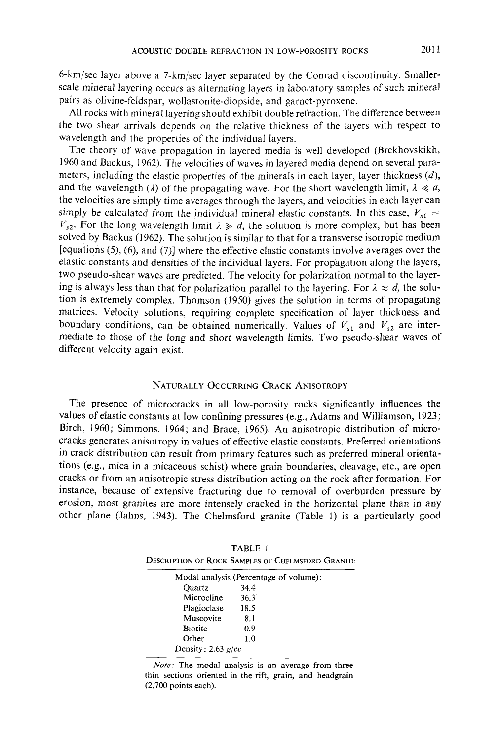6-km/sec layer above a 7-km/sec layer separated by the Conrad discontinuity. Smallerscale mineral layering occurs as alternating layers in laboratory samples of such mineral pairs as olivine-feldspar, wollastonite-diopside, and garnet-pyroxene.

All rocks with mineral layering should exhibit double refraction. The difference between the two shear arrivals depends on the relative thickness of the layers with respect to wavelength and the properties of the individual layers.

The theory of wave propagation in layered media is well developed (Brekhovskikh, 1960 and Backus, 1962). The velocities of waves in layered media depend on several parameters, including the elastic properties of the minerals in each layer, layer thickness  $(d)$ , and the wavelength ( $\lambda$ ) of the propagating wave. For the short wavelength limit,  $\lambda \ll a$ , the velocities are simply time averages through the layers, and velocities in each layer can simply be calculated from the *individual mineral elastic constants*. In this case,  $V_{s1}$  =  $V_{s2}$ . For the long wavelength limit  $\lambda \geq d$ , the solution is more complex, but has been solved by Backus (1962). The solution is similar to that for a transverse isotropic medium [equations (5), (6), and (7)] where the effective elastic constants involve averages over the elastic constants and densities of the individual layers. For propagation along the layers, two pseudo-shear waves are predicted. The velocity for polarization normal to the layering is always less than that for polarization parallel to the layering. For  $\lambda \approx d$ , the solution is extremely complex. Thomson (1950) gives the solution in terms of propagating matrices. Velocity solutions, requiring complete specification of layer thickness and boundary conditions, can be obtained numerically. Values of  $V_{s1}$  and  $V_{s2}$  are intermediate to those of the long and short wavelength limits. Two pseudo-shear waves of different velocity again exist.

## NATURALLY OCCURRING CRACK ANISOTROPY

The presence of microcracks in all low-porosity rocks significantly influences the values of elastic constants at low confining pressures (e.g., Adams and Williamson, 1923; Birch, 1960; Simmons, 1964; and Brace, 1965). An anisotropic distribution of microcracks generates anisotropy in values of effective elastic constants. Preferred orientations in crack distribution can result from primary features such as preferred mineral orientations (e.g., mica in a micaceous schist) where grain boundaries, cleavage, etc., are open cracks or from an anisotropic stress distribution acting on the rock after formation. For instance, because of extensive fracturing due to removal of overburden pressure by erosion, most granites are more intensely cracked in the horizontal plane than in any other plane (Jahns, 1943). The Chelmsford granite (Table 1) is a particularly good

| Description of Rock Samples of Chelmsford Granite<br>Modal analysis (Percentage of volume): |      |            |      |
|---------------------------------------------------------------------------------------------|------|------------|------|
|                                                                                             |      | Ouartz     | 34.4 |
|                                                                                             |      | Microcline | 36.3 |
| Plagioclase                                                                                 | 18.5 |            |      |
| Muscovite                                                                                   | 8.1  |            |      |
| <b>Biotite</b>                                                                              | 0.9  |            |      |
| Other                                                                                       | 1.0  |            |      |
|                                                                                             |      |            |      |

TABLE **<sup>l</sup>**

Density: 2.63 *g/cc* 

*Note:* The modal analysis is an average from three thin sections oriented in the rift, grain, and headgrain (2,700 points each).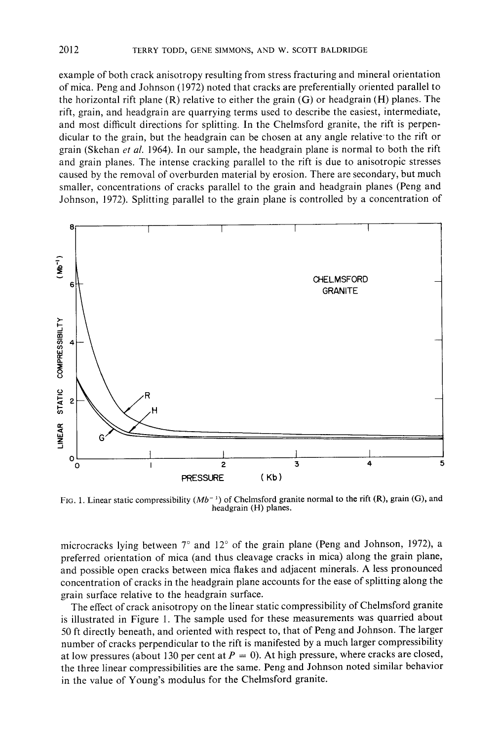example of both crack anisotropy resulting from stress fracturing and mineral orientation of mica. Peng and Johnson (1972) noted that cracks are preferentially oriented parallel to the horizontal rift plane  $(R)$  relative to either the grain  $(G)$  or headgrain  $(H)$  planes. The rift, grain, and headgrain are quarrying terms used to describe the easiest, intermediate, and most difficult directions for splitting. In the Chelmsford granite, the rift is perpendicular to the grain, but the headgrain can be chosen at any angle relative'to the rift or grain (Skehan *et al.* 1964). In our sample, the headgrain plane is normal to both the rift and grain planes. The intense cracking parallel to the rift is due to anisotropic stresses caused by the removal of overburden material by erosion. There are secondary, but much smaller, concentrations of cracks parallel to the grain and headgrain planes (Peng and Johnson, 1972). Splitting parallel to the grain plane is controlled by a concentration of



FIG. 1. Linear static compressibility *(Mb<sup>-1</sup>)* of Chelmsford granite normal to the rift (R), grain (G), and headgrain (H) planes.

microcracks lying between  $7^\circ$  and  $12^\circ$  of the grain plane (Peng and Johnson, 1972), a preferred orientation of mica (and thus cleavage cracks in mica) along the grain plane, and possible open cracks between mica flakes and adjacent minerals. A less pronounced concentration of cracks in the headgrain plane accounts for the ease of splitting along the grain surface relative to the headgrain surface.

The effect of crack anisotropy on the linear static compressibility of Chelmsford granite is illustrated in Figure 1. The sample used for these measurements was quarried about 50 ft directly beneath, and oriented with respect to, that of Peng and Johnson. The larger number of cracks perpendicular to the rift is manifested by a much larger compressibility at low pressures (about 130 per cent at  $P = 0$ ). At high pressure, where cracks are closed, the three linear compressibilities are the same. Peng and Johnson noted similar behavior in the value of Young's modulus for the Chelmsford granite.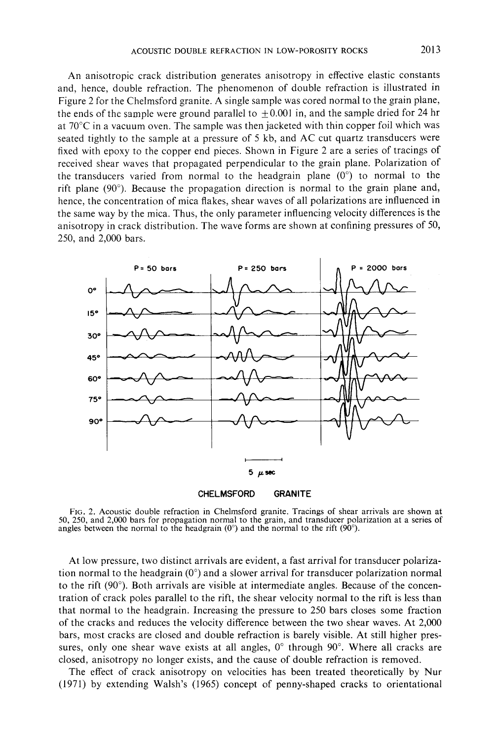An anisotropic crack distribution generates anisotropy in effective elastic constants and, hence, double refraction. The phenomenon of double refraction is illustrated in Figure 2 for the Chelmsford granite. A single sample was cored normal to the grain plane, the ends of the sample were ground parallel to  $\pm 0.001$  in, and the sample dried for 24 hr at 70°C in a vacuum oven. The sample was then jacketed with thin copper foil which was seated tightly to the sample at a pressure of 5 kb, and AC cut quartz transducers were fixed with epoxy to the copper end pieces. Shown in Figure 2 are a series of tracings of received shear waves that propagated perpendicular to the grain plane. Polarization of the transducers varied from normal to the headgrain plane  $(0^{\circ})$  to normal to the rift plane (90°). Because the propagation direction is normal to the grain plane and, hence, the concentration of mica flakes, shear waves of all polarizations are influenced in the same way by the mica. Thus, the only parameter influencing velocity differences is the anisotropy in crack distribution. The wave forms are shown at confining pressures of 50, 250, and 2,000 bars.



FIG, 2. Acoustic double refraction in Chelmsford granite. Tracings of shear arrivals are shown at 50, 250, and 2,000 bars for propagation normal to the grain, and transducer polarization at a series of angles between the normal to the headgrain  $(0^{\circ})$  and the normal to the rift  $(90^{\circ})$ .

At low pressure, two distinct arrivals are evident, a fast arrival for transducer polarization normal to the headgrain  $(0^{\circ})$  and a slower arrival for transducer polarization normal to the rift (90°). Both arrivals are visible at intermediate angles. Because of the concentration of crack poles parallel to the rift, the shear velocity normal to the rift is less than that normal to the headgrain. Increasing the pressure to 250 bars closes some fraction of the cracks and reduces the velocity difference between the two shear waves. At 2,000 bars, most cracks are closed and double refraction is barely visible. At still higher pressures, only one shear wave exists at all angles,  $0^{\circ}$  through  $90^{\circ}$ . Where all cracks are closed, anisotropy no longer exists, and the cause of double refraction is removed.

The effect of crack anisotropy on velocities has been treated theoretically by Nur (1971) by extending Walsh's (1965) concept of penny-shaped cracks to orientational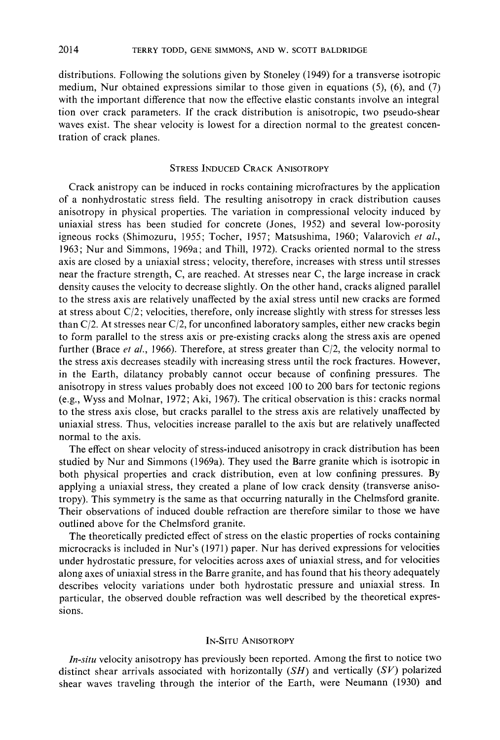distributions. Following the solutions given by Stoneley (1949) for a transverse isotropic medium, Nur obtained expressions similar to those given in equations (5), (6), and (7) with the important difference that now the effective elastic constants involve an integral tion over crack parameters. If the crack distribution is anisotropic, two pseudo-shear waves exist. The shear velocity is lowest for a direction normal to the greatest concentration of crack planes.

## STRESS INDUCED CRACK ANISOTROPY

Crack anistropy can be induced in rocks containing microfractures by the application of a nonhydrostatic stress field. The resulting anisotropy in crack distribution causes anisotropy in physical properties. The variation in compressional velocity induced by uniaxial stress has been studied for concrete (Jones, 1952) and several low-porosity igneous rocks (Shimozuru, 1955; Tocher, 1957; Matsushima, 1960; Valarovich *et aL,*  1963; Nur and Simmons, 1969a; and Thill, 1972). Cracks oriented normal to the stress axis are closed by a uniaxial stress; velocity, therefore, increases with stress until stresses near the fracture strength, C, are reached. At stresses near C, the large increase in crack density causes the velocity to decrease slightly. On the other hand, cracks aligned parallel to the stress axis are relatively unaffected by the axial stress until new cracks are formed at stress about  $C/2$ ; velocities, therefore, only increase slightly with stress for stresses less than *C/2.* At stresses near C/2, for unconfined laboratory samples, either new cracks begin to form parallel to the stress axis or pre-existing cracks along the stress axis are opened further (Brace *et al.,* 1966). Therefore, at stress greater than C/2, the velocity normal to the stress axis decreases steadily with increasing stress until the rock fractures. However, in the Earth, dilatancy probably cannot occur because of confining pressures. The anisotropy in stress values probably does not exceed 100 to 200 bars for tectonic regions (e.g., Wyss and Molnar, 1972; Aki, 1967). The critical observation is this: cracks normal to the stress axis close, but cracks parallel to the stress axis are relatively unaffected by uniaxial stress. Thus, velocities increase parallel to the axis but are relatively unaffected normal to the axis.

The effect on shear velocity of stress-induced anisotropy in crack distribution has been studied by Nur and Simmons (1969a). They used the Barre granite which is isotropic in both physical properties and crack distribution, even at low confining pressures. By applying a uniaxial stress, they created a plane of low crack density (transverse anisotropy). This symmetry is the same as that occurring naturally in the Chelmsford granite. Their observations of induced double refraction are therefore similar to those we have outlined above for the Chelmsford granite.

The theoretically predicted effect of stress on the elastic properties of rocks containing microcracks is included in Nur's (1971) paper. Nut has derived expressions for velocities under hydrostatic pressure, for velocities across axes of uniaxial stress, and for velocities along axes of uniaxial stress in the Barre granite, and has found that his theory adequately describes velocity variations under both hydrostatic pressure and uniaxial stress. In particular, the observed double refraction was well described by the theoretical expressions.

## IN-SITU ANISOTROPY

*In-situ* velocity anisotropy has previously been reported. Among the first to notice two distinct shear arrivals associated with horizontally *(SH)* and vertically *(SV)* polarized shear waves traveling through the interior of the Earth, were Neumann (1930) and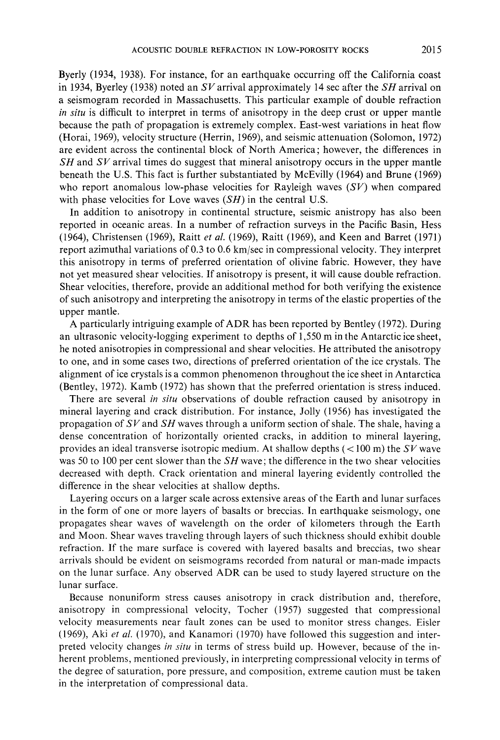Byerly (1934, 1938). For instance, for an earthquake occurring off the California coast in 1934, Byerley (1938) noted an *SV* arrival approximately 14 sec after the *SH* arrival on a seismogram recorded in Massachusetts. This particular example of double refraction *in situ* is difficult to interpret in terms of anisotropy in the deep crust or upper mantle because the path of propagation is extremely complex. East-west variations in heat flow (Horai, 1969), velocity structure (Herrin, 1969), and seismic attenuation (Solomon, 1972) are evident across the continental block of North America; however, the differences in *SH* and *SV* arrival times do suggest that mineral anisotropy occurs in the upper mantle beneath the U.S. This fact is further substantiated by McEvilly (1964) and Brune (1969) who report anomalous low-phase velocities for Rayleigh waves *(SV)* when compared with phase velocities for Love waves *(SH)* in the central U.S.

In addition to anisotropy in continental structure, seismic anistropy has also been reported in oceanic areas. In a number of refraction surveys in the Pacific Basin, Hess (1964), Christensen (1969), Raitt *et al.* (1969), Raitt (1969), and Keen and Barret (1971) report azimuthal variations of 0.3 to 0.6 km/sec in compressional velocity. They interpret this anisotropy in terms of preferred orientation of olivine fabric. However, they have not yet measured shear velocities. If anisotropy is present, it will cause double refraction. Shear velocities, therefore, provide an additional method for both verifying the existence of such anisotropy and interpreting the anisotropy in terms of the elastic properties of the upper mantle.

A particularly intriguing example of ADR has been reported by Bentley (1972). During an ultrasonic velocity-logging experiment to depths of 1,550 m in the Antarctic ice sheet, he noted anisotropies in compressional and shear velocities. He attributed the anisotropy to one, and in some cases two, directions of preferred orientation of the ice crystals. The alignment of ice crystals is a common phenomenon throughout the ice sheet in Antarctica (Bentley, 1972). Kamb (1972) has shown that the preferred orientation is stress induced.

There are several *in situ* observations of double refraction caused by anisotropy in mineral layering and crack distribution. For instance, Jolly (1956) has investigated the propagation of *SV* and *SH* waves through a uniform section of shale. The shale, having a dense concentration of horizontally oriented cracks, in addition to mineral layering, provides an ideal transverse isotropic medium. At shallow depths (< 100 m) the *SV* wave was 50 to 100 per cent slower than the *SH* wave; the difference in the two shear velocities decreased with depth. Crack orientation and mineral layering evidently controlled the difference in the shear velocities at shallow depths.

Layering occurs on a larger scale across extensive areas of the Earth and lunar surfaces in the form of one or more layers of basalts or breccias. In earthquake seismology, one propagates shear waves of wavelength on the order of kilometers through the Earth and Moon. Shear waves traveling through layers of such thickness should exhibit double refraction. If the mare surface is covered with layered basalts and breccias, two shear arrivals should be evident on seismograms recorded from natural or man-made impacts on the lunar surface. Any observed ADR can be used to study layered structure on the lunar surface.

Because nonuniform stress causes anisotropy in crack distribution and, therefore, anisotropy in compressional velocity, Tocher (1957) suggested that compressional velocity measurements near fault zones can be used to monitor stress changes. Eisler (1969), Aki *et al.* (1970), and Kanamori (1970) have followed this suggestion and interpreted velocity changes *in situ* in terms of stress build up. However, because of the inherent problems, mentioned previously, in interpreting compressional velocity in terms of the degree of saturation, pore pressure, and composition, extreme caution must be taken in the interpretation of compressional data.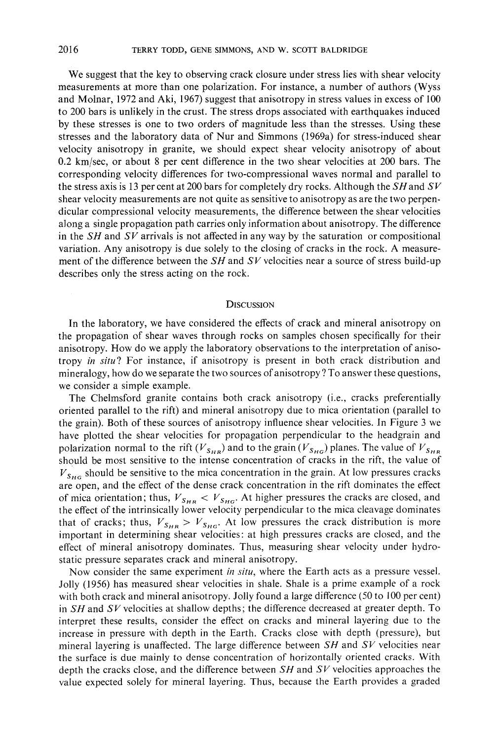We suggest that the key to observing crack closure under stress lies with shear velocity measurements at more than one polarization. For instance, a number of authors (Wyss and Molnar, 1972 and Aki, 1967) suggest that anisotropy in stress values in excess of 100 to 200 bars is unlikely in the crust. The stress drops associated with earthquakes induced by these stresses is one to two orders of magnitude less than the stresses. Using these stresses and the laboratory data of Nur and Simmons (1969a) for stress-induced shear velocity anisotropy in granite, we should expect shear velocity anisotropy of about 0.2 km/sec, or about 8 per cent difference in the two shear velocities at 200 bars. The corresponding velocity differences for two-compressional waves normal and parallel to the stress axis is 13 per cent at 200 bars for completely dry rocks. Although the *SH* and *SV* shear velocity measurements are not quite as sensitive to anisotropy as are the two perpendicular compressional velocity measurements, the difference between the shear velocities along a single propagation path carries only information about anisotropy. The difference in the *SH* and *SV* arrivals is not affected in any way by the saturation or compositional variation. Any anisotropy is due solely to the closing of cracks in the rock. A measurement of the difference between the *SH* and *SV* velocities near a source of stress build-up describes only the stress acting on the rock.

#### **DISCUSSION**

In the laboratory, we have considered the effects of crack and mineral anisotropy on the propagation of shear waves through rocks on samples chosen specifically for their anisotropy. How do we apply the laboratory observations to the interpretation of anisotropy *in situ?* For instance, if anisotropy is present in both crack distribution and mineralogy, how do we separate the two sources of anisotropy ? To answer these questions, we consider a simple example.

The Chelmsford granite contains both crack anisotropy (i.e., cracks preferentially oriented parallel to the rift) and mineral anisotropy due to mica orientation (parallel to the grain). Both of these sources of anisotropy influence shear velocities. In Figure 3 we have plotted the shear velocities for propagation perpendicular to the headgrain and polarization normal to the rift  $(V_{S_{HR}})$  and to the grain  $(V_{S_{HG}})$  planes. The value of  $V_{S_{HR}}$ should be most sensitive to the intense concentration of cracks in the rift, the value of  $V_{S_{HG}}$  should be sensitive to the mica concentration in the grain. At low pressures cracks are open, and the effect of the dense crack concentration in the rift dominates the effect of mica orientation; thus,  $V_{S_{HB}} < V_{S_{HG}}$ . At higher pressures the cracks are closed, and the effect of the intrinsically lower velocity perpendicular to the mica cleavage dominates that of cracks; thus,  $V_{S_{HR}} > V_{S_{HG}}$ . At low pressures the crack distribution is more important in determining shear velocities: at high pressures cracks are closed, and the effect of mineral anisotropy dominates. Thus, measuring shear velocity under hydrostatic pressure separates crack and mineral anisotropy.

Now consider the same experiment *in situ*, where the Earth acts as a pressure vessel. Jolly (1956) has measured shear velocities in shale. Shale is a prime example of a rock with both crack and mineral anisotropy. Jolly found a large difference (50 to 100 per cent) in *SH* and *SV* velocities at shallow depths; the difference decreased at greater depth. To interpret these results, consider the effect on cracks and mineral layering due to the increase in pressure with depth in the Earth. Cracks close with depth (pressure), but mineral layering is unaffected. The large difference between *SH* and *SV* velocities near the surface is due mainly to dense concentration of horizontally oriented cracks. With depth the cracks close, and the difference between *SH* and *SV* velocities approaches the value expected solely for mineral layering. Thus, because the Earth provides a graded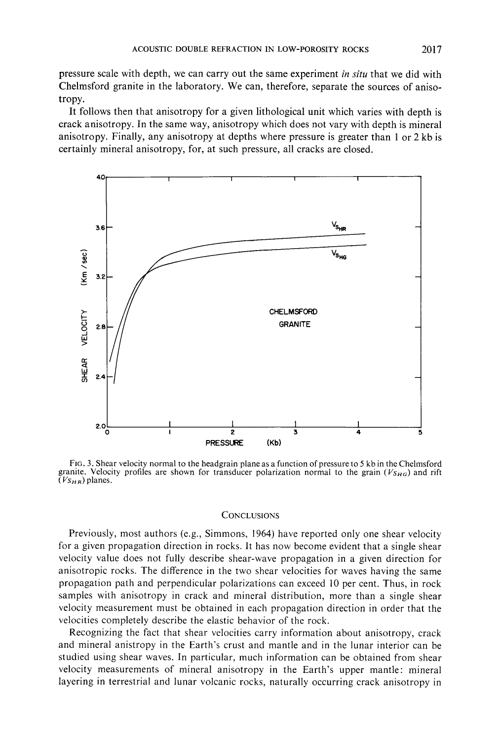pressure scale with depth, we can carry out the same experiment *in situ* that we did with Chelmsford granite in the laboratory. We can, therefore, separate the sources of anisotropy.

It follows then that anisotropy for a given lithological unit which varies with depth is crack anisotropy. In the same way, anisotropy which does not vary with depth is mineral anisotropy. Finally, any anisotropy at depths where pressure is greater than 1 or 2 kb is certainly mineral anisotropy, for, at such pressure, all cracks are closed.



FIG. 3. Shear velocity normal to the headgrain plane as a function of pressure to 5 kb in the Chelmsford granite. Velocity profiles are shown for transducer polarization normal to the grain  $(V_{SHG})$  and rift *(V<sub>SH6</sub>)* planes.

#### **CONCLUSIONS**

Previously, most authors (e.g., Simmons, 1964) have reported only one shear velocity for a given propagation direction in rocks. It has now become evident that a single shear velocity value does not fully describe shear-wave propagation in a given direction for anisotropic rocks. The difference in the two shear velocities for waves having the same propagation path and perpendicular polarizations can exceed 10 per cent. Thus, in rock samples with anisotropy in crack and mineral distribution, more than a single shear velocity measurement must be obtained in each propagation direction in order that the velocities completely describe the elastic behavior of the rock.

Recognizing the fact that shear velocities carry information about anisotropy, crack and mineral anistropy in the Earth's crust and mantle and in the lunar interior can be studied using shear waves. In particular, much information can be obtained from shear velocity measurements of mineral anisotropy in the Earth's upper mantle: mineral layering in terrestrial and lunar volcanic rocks, naturally occurring crack anisotropy in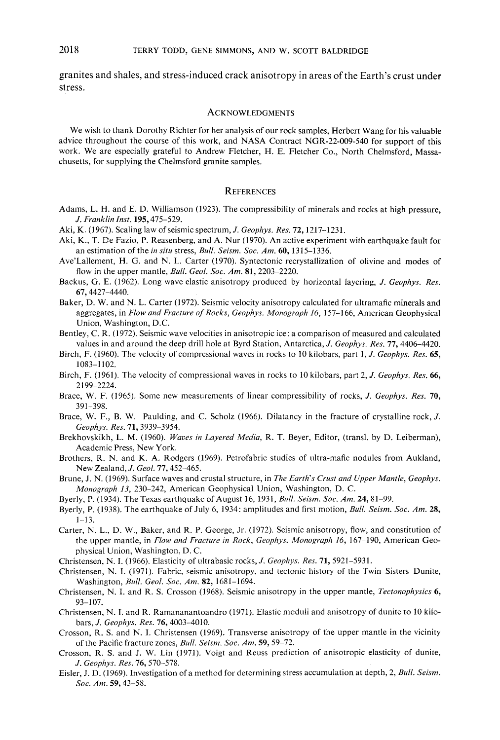**granites and shales, and stress-induced crack anisotropy in areas of the Earth's crust under stress.** 

#### **ACKNOWLEDGMENTS**

We wish to thank Dorothy Richter for her analysis of our rock samples, Herbert Wang for his valuable advice throughout the course of this work, and NASA Contract NGR-22-009-540 for support of this work. We are especially grateful to Andrew Fletcher, H. E. Fletcher Co., North Chelmsford, Massachusetts, for supplying the Chelmsford granite samples.

## **REFERENCES**

- Adams, L. H. and E. D. Williamson (1923). The compressibility of minerals and rocks at high pressure, *J. Franklin Inst.* 195,475-529.
- Aki, K. (1967). Scaling law of seismic spectrum, *J. Geophys. Res.* 72, 1217-1231.
- Aki, K., T. De Fazio, P. Reasenberg, and A. Nur (1970). An active experiment with earthquake fault for an estimation of the *in situ* stress, *Bull. Seism. Soc. Am.* 60, 1315-1336.
- Ave'Lallement, H. G. and N. L. Carter (1970). Syntectonic recrystallization of olivine and modes of flow in the upper mantle, *Bull. Geol. Soc. Am.* 81, 2203-2220.
- Backus, G. E. (1962). Long wave elastic anisotropy produced by horizontal layering, *J. Geophys. Res.*  67, 4427-4440.
- Baker, D. W. and N. L. Carter (1972). Seismic velocity anisotropy calculated for ultramafic minerals and aggregates, in *Flow and Fracture of Rocks, Geophys. Monograph 16,* 157-166, American Geophysical Union, Washington, D.C.

Bentley, C. R. (1972), Seismic wave velocities in anisotropic ice: a comparison of measured and calculated values in and around the deep drill hole at Byrd Station, Antarctica, *J. Geophys. Res.* 77, 4406-4420.

- Birch, F. (1960). The velocity of compressional waves in rocks to 10 kilobars, part *1, J. Geophys. Res.* 65, 1083-1102.
- Birch, F. (1961). The velocity of compressional waves in rocks to 10 kilobars, part *2, J. Geophys. Res.* 66, 2199-2224.
- Brace, W. F. (1965). Some new measurements of linear compressibility of rocks, *J. Geophys. Res.* 70, 391-398.
- Brace, W. F., B. W. Paulding, and C. Scholz (1966). Dilatancy in the fracture of crystalline rock, J. Geophys. Res. **71**, 3939-3954.
- Brekhovskikh, L. M. (1960). *Waves in Layered Media,* R. T. Beyer, Editor, (transl. by D. Leiberman), Academic Press, New York.
- Brothers, R. N. and K. A. Rodgers (1969). Petrofabric studies of ultra-mafic nodules from Aukland, New Zealand, *J. Geol.* 77, 452-465.
- Brune, J. N. (1969). Surface waves and crustal structure, in *The Earth's Crust and Upper Mantle, Geophys. Monograph 13,* 230-242, American Geophysical Union, Washington, D. C.
- Byerly, P. (1934). The Texas earthquake of August 16, 1931, *Bull. Seism. Soc. Am.* 24, 81 99.
- Byerly, P. (1938). The earthquake of July 6, 1934: amplitudes and first motion, *Bull. Seism. Soc. Am.* 28, 1-13.
- Carter, N. L., D. W., Baker, and R. P. George, Jr. (1972). Seismic anisotropy, flow, and constitution of the upper mantle, in *Flow and Fracture in Rock, Geophys. Monograph 16*, 167–190, American Geophysical Union, Washington, D. C.
- Christensen, N. I. (1966). Elasticity of ultrabasic rocks, J. *Geophys. Res.* 71, 5921-5931.
- Christensen, N. I. (1971). Fabric, seismic anisotropy, and tectonic history of the Twin Sisters Dunite, Washington, *Bull. Geol. Soc. Am.* 82, 1681-1694.
- Christensen, N. I. and R. S. Crosson (1968). Seismic anisotropy in the upper mantle, *Tectonophysics 6,*  93-107.
- Christensen, N. I. and R. Ramananantoandro (1971). Elastic moduli and anisotropy of dunite to 10 kilobars, *J. Geophys. Res.* 76, 4003-4010.
- Crosson, R. S. and N. I. Christensen (1969). Transverse anisotropy of the upper mantle in the vicinity of the Pacific fracture zones, *Bull. Seism. Soc. Am.* 59, 59-72.
- Crosson, R. S. and J. W. Lin (1971). Voigt and Reuss prediction of anisotropic elasticity of dunite, *J. Geophys. Res.* 76, 570-578.
- Eisler, J. D. (1969). Investigation of a method for determining stress accumulation at depth, 2, *Bull. Seism. Soc. Am.* 59, 43-58.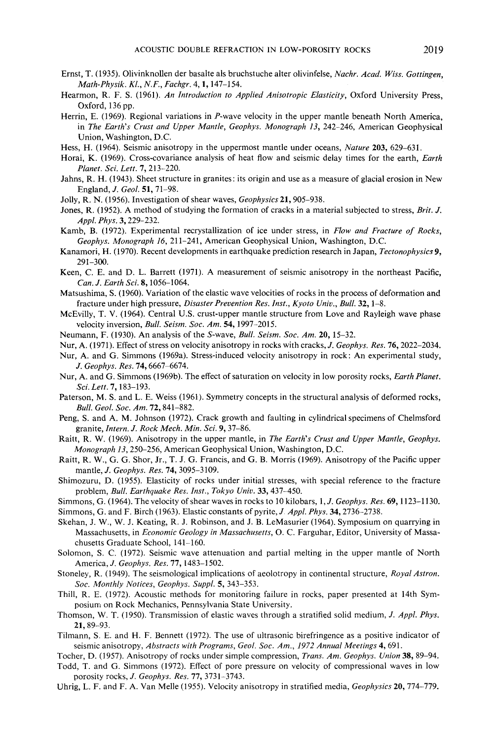- Ernst, T. (1935). Olivinknollen der basalte als bruchstuche alter olivinfelse, *Nachr. Acad. Wiss. Gottingen, Math-Physik. Kl., N,F., Fachgr.* 4, 1,147-154.
- Hearmon, R. F. S. (1961). *An Introduction to Applied Anisotropic Elasticity,* Oxford University Press, Oxford, 136 pp.
- Herrin, E. (1969). Regional variations in P-wave velocity in the upper mantle beneath North America, in *The Earth's Crust and Upper Mantle, Geophys. Monograph 13, 242-246, American Geophysical* Union, Washington, D.C.
- Hess, H. (1964). Seismic anisotropy in the uppermost mantle under oceans, *Nature* 203, 629-631.
- Horai, K. (1969). Cross-covariance analysis of heat flow and seismic delay times for the earth, *Earth Planet. Sci. Lett.* 7, 213-220.
- Jahns, R. H. (1943). Sheet structure in granites: its origin and use as a measure of glacial erosion in New England, *J. Geol.* 51, 71-98.
- Jolly, R. N. (1956). Investigation of shear waves, *Geophysics* 21,905-938.
- Jones, R. (1952). A method of studying the formation of cracks in a material subjected to stress, *Brit. J. Appl. Phys.* 3, 229-232.
- Kamb, B. (1972). Experimental recrystallization of ice under stress, in *Flow and Fracture of Rocks, Geophys. Monograph 16,* 211-241, American Geophysical Union, Washington, D.C.
- Kanamori, H. (1970). Recent developments in earthquake prediction research in Japan, *Teetonophysics 9,*  291-300.
- Keen, C. E. and D. L. Barrett (1971). A measurement of seismic anisotropy in the northeast Pacific, *Can. J. Earth Sci.* 8, 1056-1064.
- Matsushima, S. (1960). Variation of the elastic wave velocities of rocks in the process of deformation and fracture under high pressure, *Disaster Prevention Res. Inst., Kyoto Univ., Bull.* 32, 1-8.
- McEvilly, T. V. (1964). Central U.S. crust-upper mantle structure from Love and Rayleigh wave phase velocity inversion, *Bull. Seism. Soe. Am,* 54, 1997-2015.
- Neumann, F. (1930). An analysis of the S-wave, *Bull. Seism. Soe. Am.* 20, 15-32.
- Nut, A. (1971). Effect of stress on velocity anisotropy in rocks with cracks, *J. Geophys. Res.* 76, 2022-2034.
- Nur, A. and G. Simmons (1969a). Stress-induced velocity anisotropy in rock: An experimental study, *J. Geophys. Res.* 74, 6667-6674.
- Nur, A. and G, Simmons (1969b). The effect of saturation on velocity in low porosity rocks, *Earth Planet. Sci. Lett.* 7, 183-193.
- Paterson, M. S. and L. E. Weiss (1961). Symmetry concepts in the structural analysis of deformed rocks, *Bull. Geol. Soc. Am.* 72, 841-882.
- Peng, S. and A. M. Johnson (1972). Crack growth and faulting in cylindrical specimens of Chelmsford granite, *Intern. J. Rock Mech. Min. Sci.* 9, 37-86.
- Raitt, R. W. (1969). Anisotropy in the upper mantle, in *The Earth's Crust and Upper Mantle, Geophys. Monograph 13,250-256,* American Geophysical Union, Washington, D.C.
- Raitt, R. W., G. G. Shor, Jr., T. J, G. Francis, and G. B. Morris (1969). Anisotropy of the Pacific upper mantle, *J. Geophys. Res.* 74, 3095-3109.
- Shimozuru, D. (1955). Elasticity of rocks under initial stresses, with special reference to the fracture problem, *Bull. Earthquake Res. Inst., Tokyo Univ.* 33, 437-450.
- Simmons, G. (1964). The velocity of shear waves in rocks to 10 kilobars, *I, J. Geophys. Res.* 69, 1123-1130.
- Simmons, G. and F. Birch (1963). Elastic constants of pyrite, *J Appl. Phys.* 34, 2736-2738.
- Skehan, J. W., W. J. Keating, R. J. Robinson, and J. B. LeMasurier (1964). Symposium on quarrying in Massachusetts, in *Economic Geology in Massachusetts,* O. C. Farguhar, Editor, University of Massachusetts Graduate School, 141-160.
- Solomon, S. C. (1972). Seismic wave attenuation and partial melting in the upper mantle of North America, *J. G eophys. Res.* 77, 1483-1502.
- Stoneley, R. (1949). The seismological implications of aeolotropy in continental structure, *Royal Astron. Soe. Monthly Notices, Geophys. Suppl.* 5, 343-353.
- Thill, R. E. (1972). Acoustic methods for monitoring failure in rocks, paper presented at 14th Symposium on Rock Mechanics, Pennsylvania State University.
- Thomson, W. T. (1950). Transmission of elastic waves through a stratified solid medium, *J. Appl. Phys.*  21, 89-93.
- Tilmann, S. E. and H. F. Bennett (1972). The use of ultrasonic birefringence as a positive indicator of seismic anisotropy, *Abstracts with Programs, Geol. Soc. Am., 1972 Annual Meetings* 4, 691.
- Tocher, D. (1957). Anisotropy of rocks under simple compression, *Trans. Am. Geophys. Union* 38, 89-94. Todd, T. and G. Simmons (1972). Effect of pore pressure on velocity of compressional waves in low porosity rocks, *J. Geophys. Res.* 77, 3731-3743.
- Uhrig, L. F. and F. A. Van Melle (1955). Velocity anisotropy in stratified media, *Geophysics* 20, 774-779.